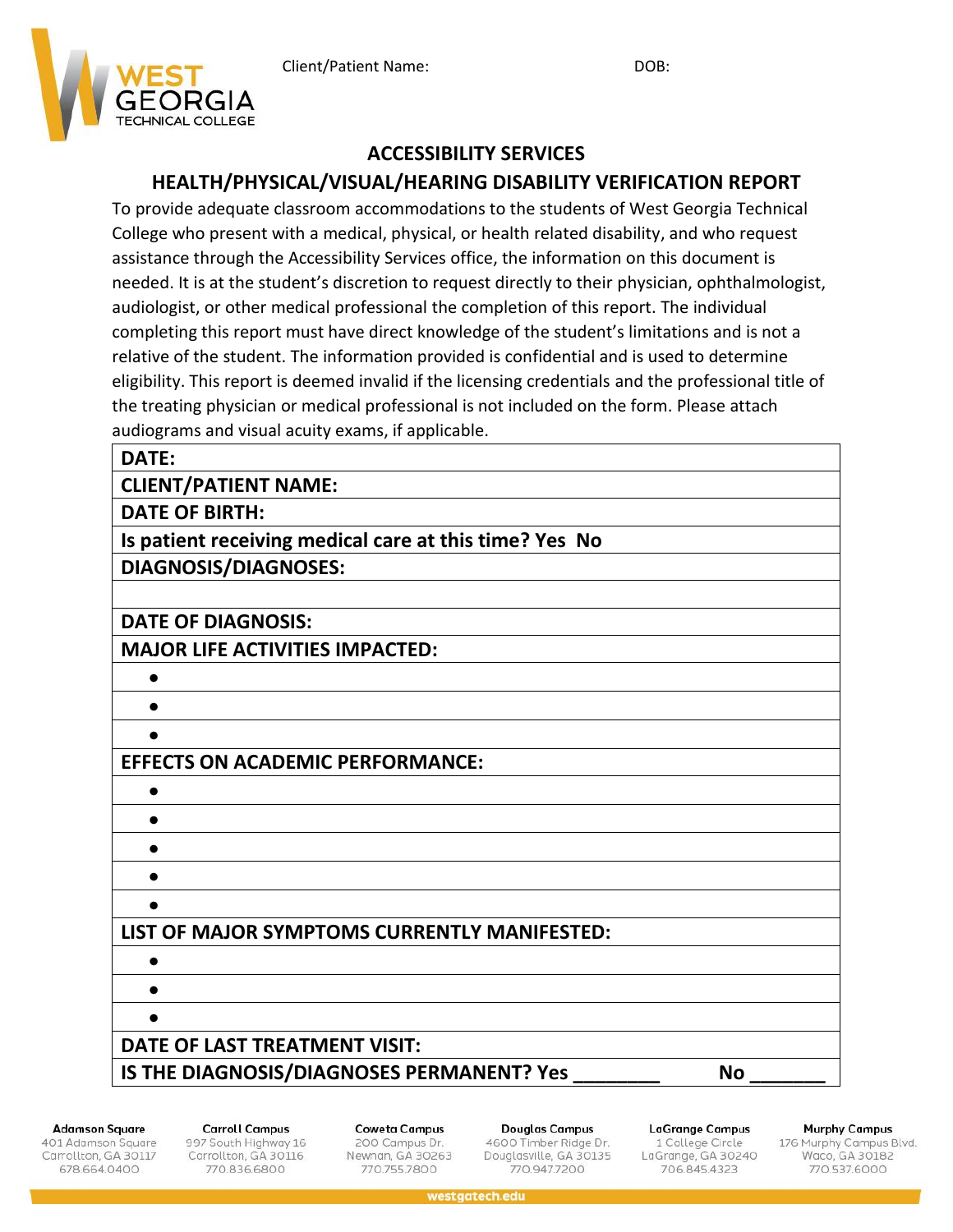

## **ACCESSIBILITY SERVICES**

# **HEALTH/PHYSICAL/VISUAL/HEARING DISABILITY VERIFICATION REPORT**

To provide adequate classroom accommodations to the students of West Georgia Technical College who present with a medical, physical, or health related disability, and who request assistance through the Accessibility Services office, the information on this document is needed. It is at the student's discretion to request directly to their physician, ophthalmologist, audiologist, or other medical professional the completion of this report. The individual completing this report must have direct knowledge of the student's limitations and is not a relative of the student. The information provided is confidential and is used to determine eligibility. This report is deemed invalid if the licensing credentials and the professional title of the treating physician or medical professional is not included on the form. Please attach audiograms and visual acuity exams, if applicable.

#### **DATE:**

**CLIENT/PATIENT NAME:**

**DATE OF BIRTH:**

**Is patient receiving medical care at this time? Yes No DIAGNOSIS/DIAGNOSES:**

**DATE OF DIAGNOSIS:**

**MAJOR LIFE ACTIVITIES IMPACTED:**

• • •

• • •

### **EFFECTS ON ACADEMIC PERFORMANCE:**

• • • • •

# **LIST OF MAJOR SYMPTOMS CURRENTLY MANIFESTED:**

**Adamson Square** 

401 Adamson Square Carrollton, GA 30117 678.664.0400

**Carroll Campus** 997 South Highway 16 Carrollton, GA 30116 770.836.6800

**DATE OF LAST TREATMENT VISIT:**

**Coweta Campus** 200 Campus Dr. Newnan, GA 30263 770.755.7800

**IS THE DIAGNOSIS/DIAGNOSES PERMANENT? Yes \_\_\_\_\_\_\_\_ No \_\_\_\_\_\_\_**

Douglas Campus 4600 Timber Ridge Dr. Douglasville, GA 30135 770,947,7200

**LaGrange Campus** 1 College Circle LaGrange, GA 30240 706.845.4323

**Murphy Campus** 

176 Murphy Campus Blvd.<br>Waco, GA 30182 770.537.6000

westgatech.edu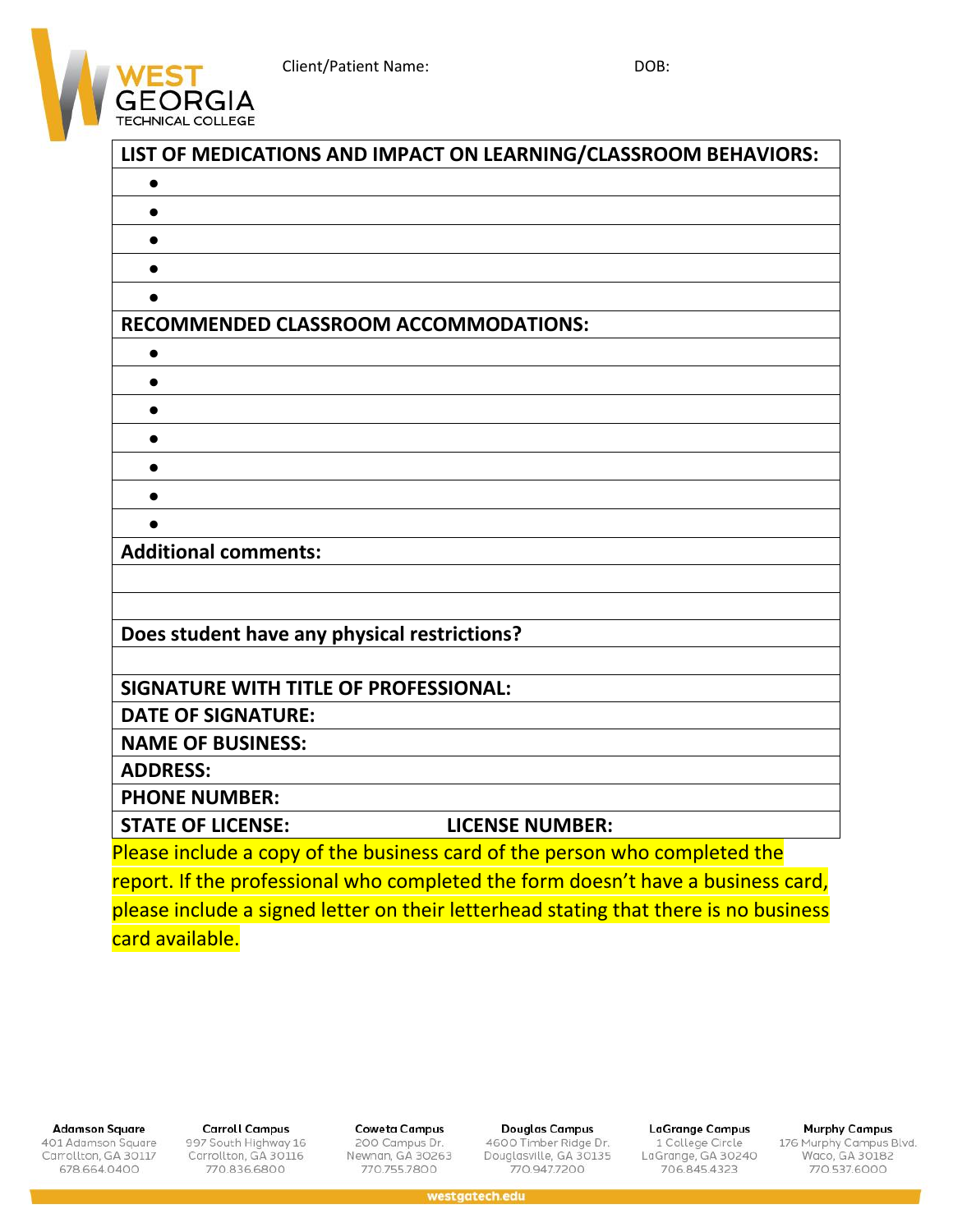Client/Patient Name: DOB:



| LIST OF MEDICATIONS AND IMPACT ON LEARNING/CLASSROOM BEHAVIORS:                      |
|--------------------------------------------------------------------------------------|
|                                                                                      |
|                                                                                      |
|                                                                                      |
|                                                                                      |
|                                                                                      |
| <b>RECOMMENDED CLASSROOM ACCOMMODATIONS:</b>                                         |
|                                                                                      |
| $\bullet$                                                                            |
| $\bullet$                                                                            |
|                                                                                      |
|                                                                                      |
|                                                                                      |
|                                                                                      |
| <b>Additional comments:</b>                                                          |
|                                                                                      |
|                                                                                      |
| Does student have any physical restrictions?                                         |
|                                                                                      |
| SIGNATURE WITH TITLE OF PROFESSIONAL:                                                |
| <b>DATE OF SIGNATURE:</b>                                                            |
| <b>NAME OF BUSINESS:</b>                                                             |
| <b>ADDRESS:</b>                                                                      |
| <b>PHONE NUMBER:</b>                                                                 |
| <b>LICENSE NUMBER:</b><br><b>STATE OF LICENSE:</b>                                   |
| Please include a copy of the business card of the person who completed the           |
| report. If the professional who completed the form doesn't have a business card,     |
| please include a signed letter on their letterhead stating that there is no business |
| card available.                                                                      |

**Adamson Square** 

401 Adamson Square<br>Carrollton, GA 30117 678.664.0400

**Carroll Campus** 997 South Highway 16<br>Carrollton, GA 30116 770.836.6800

**Coweta Campus** 200 Campus Dr.<br>Newnan, GA 30263 770.755.7800

**Douglas Campus** 4600 Timber Ridge Dr.<br>Douglasville, GA 30135 770.947.7200

**LaGrange Campus** 1 College Circle<br>LaGrange, GA 30240 706.845.4323

**Murphy Campus** 

176 Murphy Campus Blvd.<br>Waco, GA 30182<br>770.537.6000

westgatech.edu